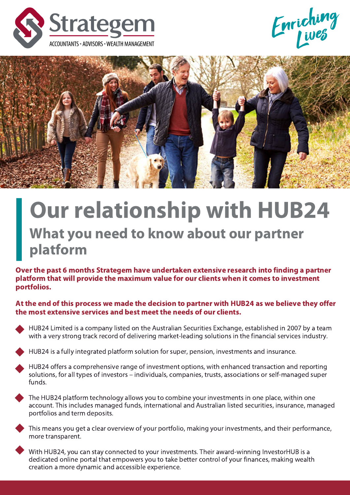





# Our relationship with HUB24 What you need to know about our partner platform

Over the past 6 months Strategem have undertaken extensive research into finding a partner platform that will provide the maximum value for our clients when it comes to investment portfolios.

At the end of this process we made the decision to partner with HUB24 as we believe they offer the most extensive services and best meet the needs of our clients.

HUB24 Limited is a company listed on the Australian Securities Exchange, established in 2007 by a team with a very strong track record of delivering market-leading solutions in the financial services industry.

HUB24 is a fully integrated platform solution for super, pension, investments and insurance.

HUB24 offers a comprehensive range of investment options, with enhanced transaction and reporting solutions, for all types of investors – individuals, companies, trusts, associations or self-managed super funds.

The HUB24 platform technology allows you to combine your investments in one place, within one account. This includes managed funds, international and Australian listed securities, insurance, managed portfolios and term deposits.

This means you get a clear overview of your portfolio, making your investments, and their performance, more transparent.

With HUB24, you can stay connected to your investments. Their award-winning InvestorHUB is a dedicated online portal that empowers you to take better control of your finances, making wealth creation a more dynamic and accessible experience.